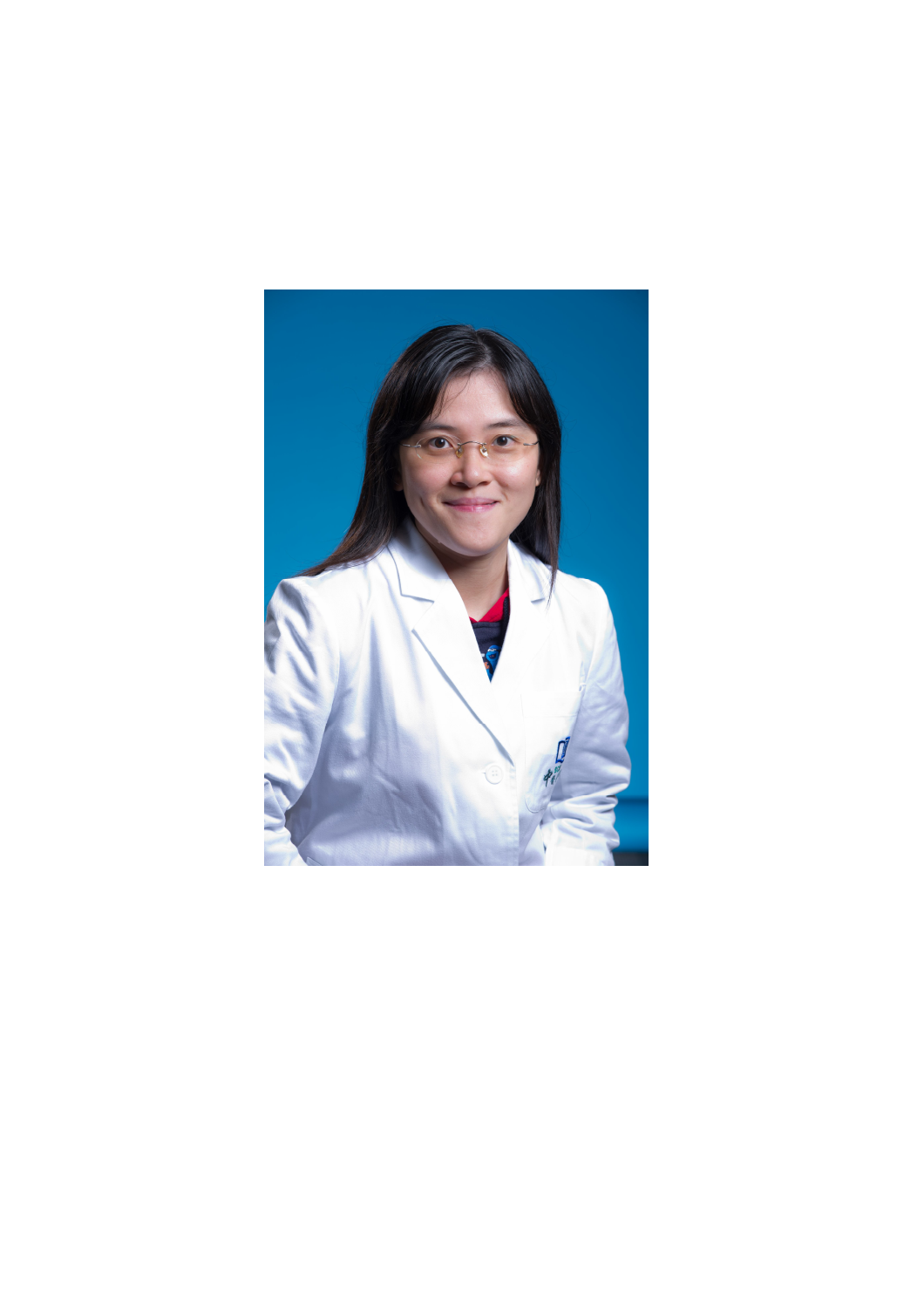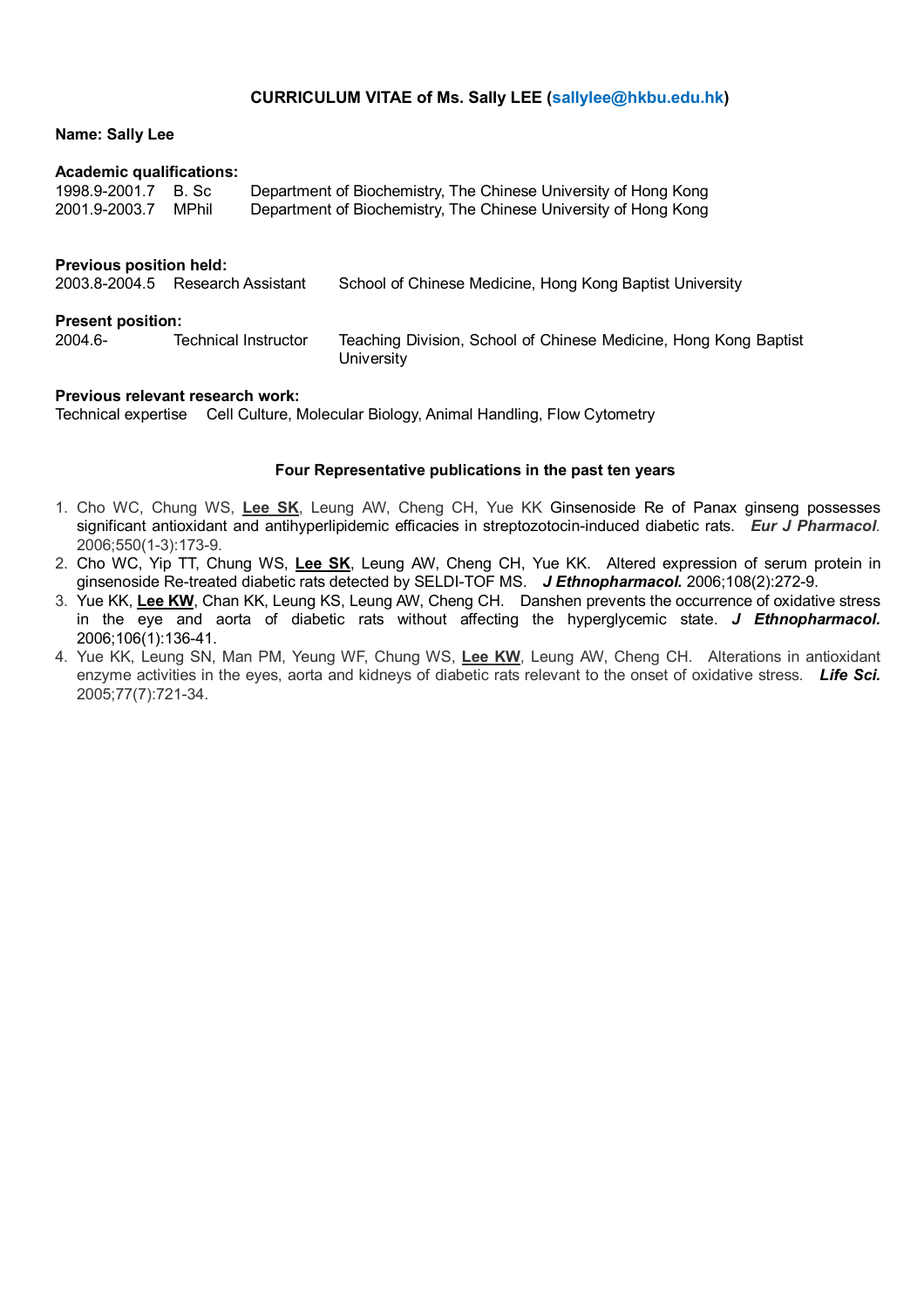# **CURRICULUM VITAE of Ms. Sally LEE (sallylee@hkbu.edu.hk)**

## **Name: Sally Lee**

## **Academic qualifications:**

| 1998.9-2001.7 B. Sc |       | Department of Biochemistry, The Chinese University of Hong Kong |
|---------------------|-------|-----------------------------------------------------------------|
| 2001.9-2003.7       | MPhil | Department of Biochemistry, The Chinese University of Hong Kong |

## **Previous position held:**

2003.8-2004.5 Research Assistant School of Chinese Medicine, Hong Kong Baptist University

## **Present position:**

2004.6- Technical Instructor Teaching Division, School of Chinese Medicine, Hong Kong Baptist **University** 

#### **Previous relevant research work:**

Technical expertise Cell Culture, Molecular Biology, Animal Handling, Flow Cytometry

#### **Four Representative publications in the past ten years**

- 1. Cho WC, Chung WS, **Lee SK**, Leung AW, Cheng CH, Yue KK Ginsenoside Re of Panax ginseng possesses significant antioxidant and antihyperlipidemic efficacies in streptozotocin-induced diabetic rats. *Eur J Pharmacol.* 2006;550(1-3):173-9.
- 2. Cho WC, Yip TT, Chung WS, **Lee SK**, Leung AW, Cheng CH, Yue KK. Altered expression of serum protein in ginsenoside Re-treated diabetic rats detected by SELDI-TOF MS. *J Ethnopharmacol.* 2006;108(2):272-9.
- 3. Yue KK, **Lee KW**, Chan KK, Leung KS, Leung AW, Cheng CH. Danshen prevents the occurrence of oxidative stress in the eye and aorta of diabetic rats without affecting the hyperglycemic state. *J Ethnopharmacol.* 2006;106(1):136-41.
- 4. Yue KK, Leung SN, Man PM, Yeung WF, Chung WS, **Lee KW**, Leung AW, Cheng CH. Alterations in antioxidant enzyme activities in the eyes, aorta and kidneys of diabetic rats relevant to the onset of oxidative stress. *Life Sci.* 2005;77(7):721-34.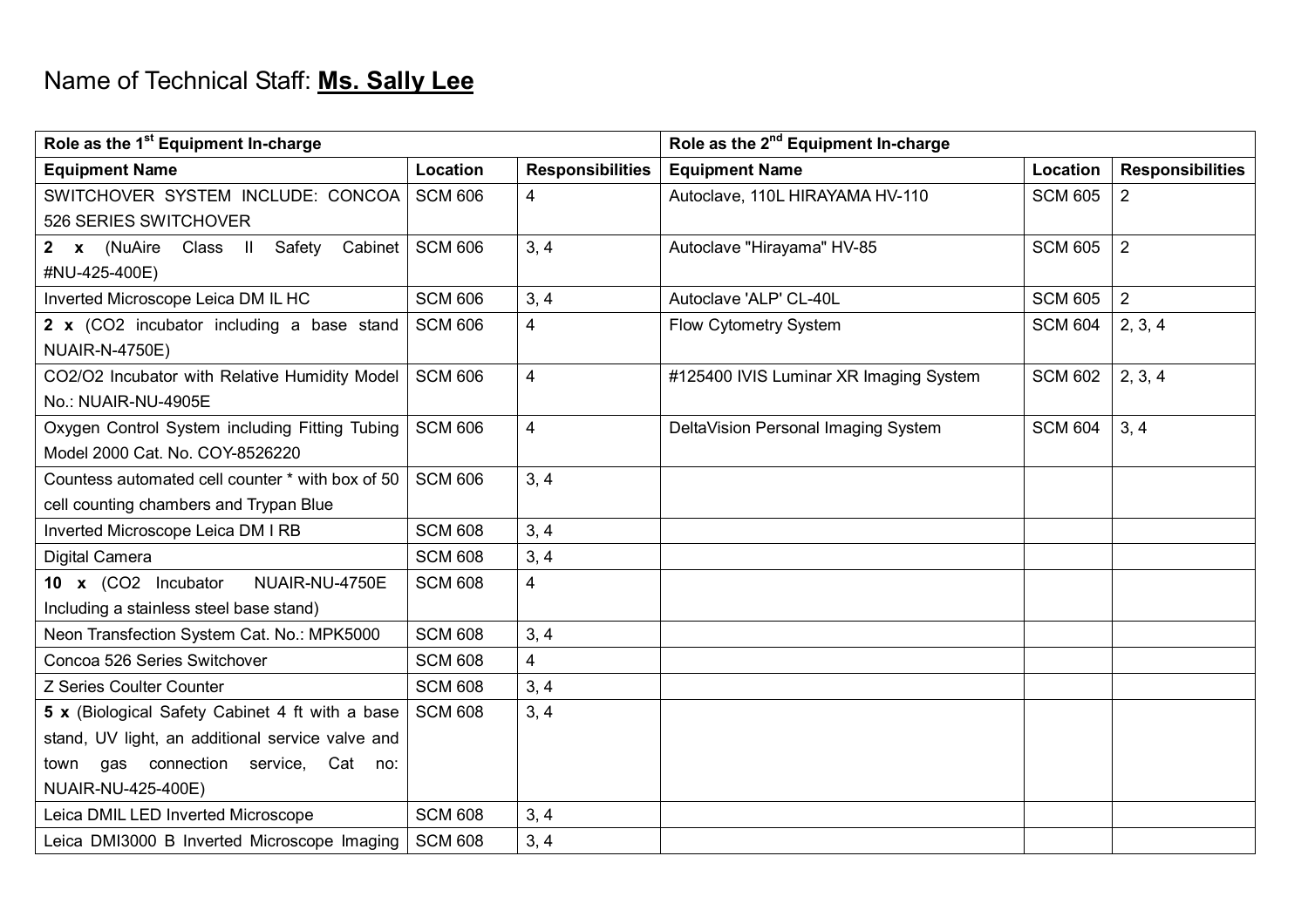# Name of Technical Staff: **Ms. Sally Lee**

| Role as the 1 <sup>st</sup> Equipment In-charge  |                | Role as the 2 <sup>nd</sup> Equipment In-charge |                                        |                |                         |
|--------------------------------------------------|----------------|-------------------------------------------------|----------------------------------------|----------------|-------------------------|
| <b>Equipment Name</b>                            | Location       | <b>Responsibilities</b>                         | <b>Equipment Name</b>                  | Location       | <b>Responsibilities</b> |
| SWITCHOVER SYSTEM INCLUDE: CONCOA                | <b>SCM 606</b> | 4                                               | Autoclave, 110L HIRAYAMA HV-110        | <b>SCM 605</b> | $\overline{2}$          |
| 526 SERIES SWITCHOVER                            |                |                                                 |                                        |                |                         |
| 2 x (NuAire Class II<br>Safety<br>Cabinet        | <b>SCM 606</b> | 3, 4                                            | Autoclave "Hirayama" HV-85             | <b>SCM 605</b> | 2                       |
| #NU-425-400E)                                    |                |                                                 |                                        |                |                         |
| Inverted Microscope Leica DM IL HC               | <b>SCM 606</b> | 3, 4                                            | Autoclave 'ALP' CL-40L                 | <b>SCM 605</b> | $\overline{2}$          |
| 2 x (CO2 incubator including a base stand        | <b>SCM 606</b> | 4                                               | Flow Cytometry System                  | <b>SCM 604</b> | 2, 3, 4                 |
| <b>NUAIR-N-4750E)</b>                            |                |                                                 |                                        |                |                         |
| CO2/O2 Incubator with Relative Humidity Model    | <b>SCM 606</b> | 4                                               | #125400 IVIS Luminar XR Imaging System | <b>SCM 602</b> | 2, 3, 4                 |
| No.: NUAIR-NU-4905E                              |                |                                                 |                                        |                |                         |
| Oxygen Control System including Fitting Tubing   | <b>SCM 606</b> | $\overline{4}$                                  | DeltaVision Personal Imaging System    | <b>SCM 604</b> | 3, 4                    |
| Model 2000 Cat. No. COY-8526220                  |                |                                                 |                                        |                |                         |
| Countess automated cell counter * with box of 50 | <b>SCM 606</b> | 3, 4                                            |                                        |                |                         |
| cell counting chambers and Trypan Blue           |                |                                                 |                                        |                |                         |
| Inverted Microscope Leica DM I RB                | <b>SCM 608</b> | 3, 4                                            |                                        |                |                         |
| Digital Camera                                   | <b>SCM 608</b> | 3, 4                                            |                                        |                |                         |
| 10 x (CO2 Incubator<br>NUAIR-NU-4750E            | <b>SCM 608</b> | 4                                               |                                        |                |                         |
| Including a stainless steel base stand)          |                |                                                 |                                        |                |                         |
| Neon Transfection System Cat. No.: MPK5000       | <b>SCM 608</b> | 3, 4                                            |                                        |                |                         |
| Concoa 526 Series Switchover                     | <b>SCM 608</b> | 4                                               |                                        |                |                         |
| Z Series Coulter Counter                         | <b>SCM 608</b> | 3, 4                                            |                                        |                |                         |
| 5 x (Biological Safety Cabinet 4 ft with a base  | <b>SCM 608</b> | 3, 4                                            |                                        |                |                         |
| stand, UV light, an additional service valve and |                |                                                 |                                        |                |                         |
| town gas connection service, Cat no:             |                |                                                 |                                        |                |                         |
| <b>NUAIR-NU-425-400E)</b>                        |                |                                                 |                                        |                |                         |
| Leica DMIL LED Inverted Microscope               | <b>SCM 608</b> | 3, 4                                            |                                        |                |                         |
| Leica DMI3000 B Inverted Microscope Imaging      | <b>SCM 608</b> | 3, 4                                            |                                        |                |                         |